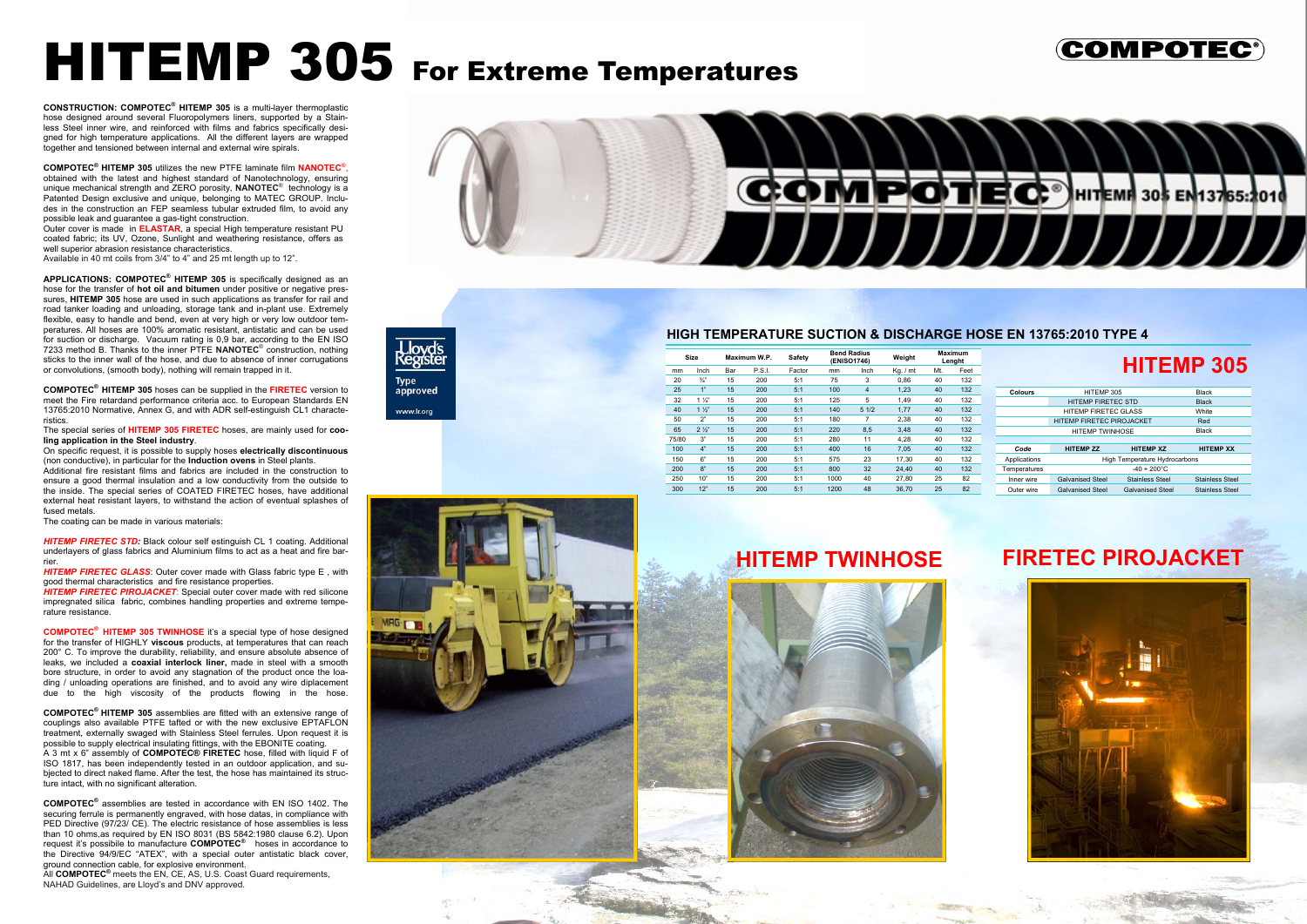# HITEMP 305 For Extreme Temperatures

### **HIGH TEMPERATURE SUCTION & DISCHARGE HOSE EN 13765:2010 TYPE 4**

| Size  |                | Maximum W.P. |        | Safety | <b>Bend Radius</b><br>(ENISO1746) |      | Weight      | <b>Maximum</b><br>Lenght |      |                |                                         |                         | <b>HITEMP 305</b>      |
|-------|----------------|--------------|--------|--------|-----------------------------------|------|-------------|--------------------------|------|----------------|-----------------------------------------|-------------------------|------------------------|
| mm    | Inch           | Bar          | P.S.I. | Factor | mm                                | Inch | $Kq$ . / mt | Mt.                      | Feet |                |                                         |                         |                        |
| 20    | $\frac{3}{4}$  | 15           | 200    | 5:1    | 75                                | 3    | 0,86        | 40                       | 132  |                |                                         |                         |                        |
| 25    | 422            | 15           | 200    | 5:1    | 100                               | 4    | 1,23        | 40                       | 132  | <b>Colours</b> | HITEMP 305                              |                         | <b>Black</b>           |
| 32    | $1\frac{1}{4}$ | 15           | 200    | 5:1    | 125                               | 5    | 1.49        | 40                       | 132  |                | <b>HITEMP FIRETEC STD</b>               |                         | <b>Black</b>           |
| 40    | $1\frac{1}{2}$ | 15           | 200    | 5:1    | 140                               | 51/2 | 1.77        | 40                       | 132  |                | <b>HITEMP FIRETEC GLASS</b>             |                         | White                  |
| 50    | 2"             | 15           | 200    | 5:1    | 180                               |      | 2.38        | 40                       | 132  |                | <b>HITEMP FIRETEC PIROJACKET</b><br>Red |                         |                        |
| 65    | $2\frac{1}{2}$ | 15           | 200    | 5:1    | 220                               | 8.5  | 3,48        | 40                       | 132  |                | <b>HITEMP TWINHOSE</b><br><b>Black</b>  |                         |                        |
| 75/80 | 3"             | 15           | 200    | 5:1    | 280                               | 11   | 4,28        | 40                       | 132  |                |                                         |                         |                        |
| 100   | 4"             | 15           | 200    | 5:1    | 400                               | 16   | 7.05        | 40                       | 132  | Code           | <b>HITEMP ZZ</b>                        | <b>HITEMP XZ</b>        | <b>HITEMP XX</b>       |
| 150   | 6"             | 15           | 200    | 5:1    | 575                               | 23   | 17,30       | 40                       | 132  | Applications   | High Temperature Hydrocarbons           |                         |                        |
| 200   | 8"             | 15           | 200    | 5:1    | 800                               | 32   | 24.40       | 40                       | 132  | Temperatures   | $-40 + 200^{\circ}$ C                   |                         |                        |
| 250   | 10"            | 15           | 200    | 5:1    | 1000                              | 40   | 27.80       | 25                       | 82   | Inner wire     | <b>Galvanised Steel</b>                 | <b>Stainless Steel</b>  | <b>Stainless Steel</b> |
| 300   | 12"            | 15           | 200    | 5:1    | 1200                              | 48   | 36.70       | 25                       | 82   | Outer wire     | <b>Galvanised Steel</b>                 | <b>Galvanised Steel</b> | <b>Stainless Steel</b> |





## **HITEMP TWINHOSE FIRETEC PIROJACKET**



**CONSTRUCTION: COMPOTEC® HITEMP 305** is a multi-layer thermoplastic hose designed around several Fluoropolymers liners, supported by a Stainless Steel inner wire, and reinforced with films and fabrics specifically designed for high temperature applications. All the different layers are wrapped together and tensioned between internal and external wire spirals.

**COMPOTEC® HITEMP 305** utilizes the new PTFE laminate film **NANOTEC**®, obtained with the latest and highest standard of Nanotechnology, ensuring unique mechanical strength and ZERO porosity, **NANOTEC**® technology is a Patented Design exclusive and unique, belonging to MATEC GROUP. Includes in the construction an FEP seamless tubular extruded film, to avoid any possible leak and guarantee a gas-tight construction.

Additional fire resistant films and fabrics are included in the construction to ensure a good thermal insulation and a low conductivity from the outside to the inside. The special series of COATED FIRETEC hoses, have additional external heat resistant layers, to withstand the action of eventual splashes of fused metals

**HITEMP FIRETEC STD:** Black colour self estinguish CL 1 coating. Additional underlayers of glass fabrics and Aluminium films to act as a heat and fire barrier.

Outer cover is made in **ELASTAR**, a special High temperature resistant PU coated fabric; its UV, Ozone, Sunlight and weathering resistance, offers as well superior abrasion resistance characteristics.

Available in 40 mt coils from 3/4" to 4" and 25 mt length up to 12".

**APPLICATIONS: COMPOTEC® HITEMP 305** is specifically designed as an hose for the transfer of **hot oil and bitumen** under positive or negative pressures, **HITEMP 305** hose are used in such applications as transfer for rail and road tanker loading and unloading, storage tank and in-plant use. Extremely flexible, easy to handle and bend, even at very high or very low outdoor temperatures. All hoses are 100% aromatic resistant, antistatic and can be used for suction or discharge. Vacuum rating is 0,9 bar, according to the EN ISO 7233 method B. Thanks to the inner PTFE **NANOTEC**® construction, nothing sticks to the inner wall of the hose, and due to absence of inner corrugations or convolutions, (smooth body), nothing will remain trapped in it.

**COMPOTEC® HITEMP 305** hoses can be supplied in the **FIRETEC** version to meet the Fire retardand performance criteria acc. to European Standards EN 13765:2010 Normative, Annex G, and with ADR self-estinguish CL1 characteristics.

The special series of **HITEMP 305 FIRETEC** hoses, are mainly used for **cooling application in the Steel industry**.

On specific request, it is possible to supply hoses **electrically discontinuous** (non conductive), in particular for the **Induction ovens** in Steel plants.

The coating can be made in various materials:

*HITEMP FIRETEC GLASS*: Outer cover made with Glass fabric type E , with good thermal characteristics and fire resistance properties.

*HITEMP FIRETEC PIROJACKET*: Special outer cover made with red silicone impregnated silica fabric, combines handling properties and extreme temperature resistance.

**COMPOTEC® HITEMP 305 TWINHOSE** it's a special type of hose designed for the transfer of HIGHLY **viscous** products, at temperatures that can reach 200° C. To improve the durability, reliability, and ensure absolute absence of leaks, we included a **coaxial interlock liner,** made in steel with a smooth bore structure, in order to avoid any stagnation of the product once the loading / unloading operations are finished, and to avoid any wire diplacement due to the high viscosity of the products flowing in the hose.

. **COMPOTEC® HITEMP 305** assemblies are fitted with an extensive range of couplings also available PTFE tafted or with the new exclusive EPTAFLON treatment, externally swaged with Stainless Steel ferrules. Upon request it is possible to supply electrical insulating fittings, with the EBONITE coating.

A 3 mt x 6" assembly of **COMPOTEC® FIRETEC** hose, filled with liquid F of ISO 1817, has been independently tested in an outdoor application, and subjected to direct naked flame. After the test, the hose has maintained its structure intact, with no significant alteration.

**COMPOTEC®** assemblies are tested in accordance with EN ISO 1402. The securing ferrule is permanently engraved, with hose datas, in compliance with PED Directive (97/23/ CE). The electric resistance of hose assemblies is less than 10 ohms, as required by EN ISO 8031 (BS 5842:1980 clause 6.2). Upon request it's possibile to manufacture **COMPOTEC®** hoses in accordance to the Directive 94/9/EC "ATEX", with a special outer antistatic black cover, ground connection cable, for explosive environment.

All **COMPOTEC®** meets the EN, CE, AS, U.S. Coast Guard requirements, NAHAD Guidelines, are Lloyd's and DNV approved.